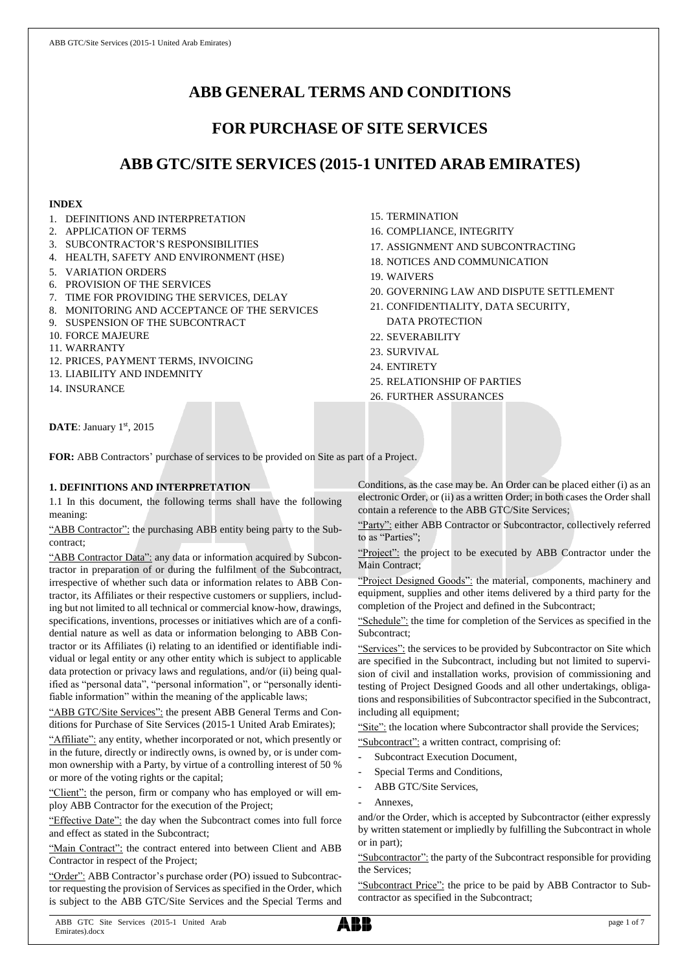# **ABB GENERAL TERMS AND CONDITIONS**

## **FOR PURCHASE OF SITE SERVICES**

## **ABB GTC/SITE SERVICES (2015-1 UNITED ARAB EMIRATES)**

## **INDEX**

- 1. DEFINITIONS AND INTERPRETATION
- 2. APPLICATION OF TERMS
- 3. SUBCONTRACTOR'S RESPONSIBILITIES
- 4. HEALTH, SAFETY AND ENVIRONMENT (HSE)
- 5. VARIATION ORDERS
- 6. PROVISION OF THE SERVICES
- 7. TIME FOR PROVIDING THE SERVICES, DELAY
- 8. MONITORING AND ACCEPTANCE OF THE SERVICES
- 9. SUSPENSION OF THE SUBCONTRACT
- 10. FORCE MAJEURE
- 11. WARRANTY
- 12. PRICES, PAYMENT TERMS, INVOICING
- 13. LIABILITY AND INDEMNITY
- 14. INSURANCE
- 15. TERMINATION
- 16. COMPLIANCE, INTEGRITY
- 17. ASSIGNMENT AND SUBCONTRACTING
- 18. NOTICES AND COMMUNICATION
- 19. WAIVERS
- 20. GOVERNING LAW AND DISPUTE SETTLEMENT
- 21. CONFIDENTIALITY, DATA SECURITY, DATA PROTECTION
- 22. SEVERABILITY
- 23. SURVIVAL
- 24. ENTIRETY
- 25. RELATIONSHIP OF PARTIES
- 26. FURTHER ASSURANCES

**DATE**: January 1st, 2015

**FOR:** ABB Contractors' purchase of services to be provided on Site as part of a Project.

## **1. DEFINITIONS AND INTERPRETATION**

1.1 In this document, the following terms shall have the following meaning:

"ABB Contractor": the purchasing ABB entity being party to the Subcontract;

"ABB Contractor Data": any data or information acquired by Subcontractor in preparation of or during the fulfilment of the Subcontract, irrespective of whether such data or information relates to ABB Contractor, its Affiliates or their respective customers or suppliers, including but not limited to all technical or commercial know-how, drawings, specifications, inventions, processes or initiatives which are of a confidential nature as well as data or information belonging to ABB Contractor or its Affiliates (i) relating to an identified or identifiable individual or legal entity or any other entity which is subject to applicable data protection or privacy laws and regulations, and/or (ii) being qualified as "personal data", "personal information", or "personally identifiable information" within the meaning of the applicable laws;

"ABB GTC/Site Services": the present ABB General Terms and Conditions for Purchase of Site Services (2015-1 United Arab Emirates);

"Affiliate": any entity, whether incorporated or not, which presently or in the future, directly or indirectly owns, is owned by, or is under common ownership with a Party, by virtue of a controlling interest of 50 % or more of the voting rights or the capital;

"Client": the person, firm or company who has employed or will employ ABB Contractor for the execution of the Project;

"Effective Date": the day when the Subcontract comes into full force and effect as stated in the Subcontract;

"Main Contract": the contract entered into between Client and ABB Contractor in respect of the Project;

"Order": ABB Contractor's purchase order (PO) issued to Subcontractor requesting the provision of Services as specified in the Order, which is subject to the ABB GTC/Site Services and the Special Terms and Conditions, as the case may be. An Order can be placed either (i) as an electronic Order, or (ii) as a written Order; in both cases the Order shall contain a reference to the ABB GTC/Site Services;

"Party": either ABB Contractor or Subcontractor, collectively referred to as "Parties";

"Project": the project to be executed by ABB Contractor under the Main Contract;

"Project Designed Goods": the material, components, machinery and equipment, supplies and other items delivered by a third party for the completion of the Project and defined in the Subcontract;

"Schedule": the time for completion of the Services as specified in the Subcontract;

"Services": the services to be provided by Subcontractor on Site which are specified in the Subcontract, including but not limited to supervision of civil and installation works, provision of commissioning and testing of Project Designed Goods and all other undertakings, obligations and responsibilities of Subcontractor specified in the Subcontract, including all equipment;

"Site": the location where Subcontractor shall provide the Services; "Subcontract": a written contract, comprising of:

- Subcontract Execution Document,
- Special Terms and Conditions,
- ABB GTC/Site Services,
- Annexes.

and/or the Order, which is accepted by Subcontractor (either expressly by written statement or impliedly by fulfilling the Subcontract in whole or in part);

"Subcontractor": the party of the Subcontract responsible for providing the Services;

"Subcontract Price": the price to be paid by ABB Contractor to Subcontractor as specified in the Subcontract;

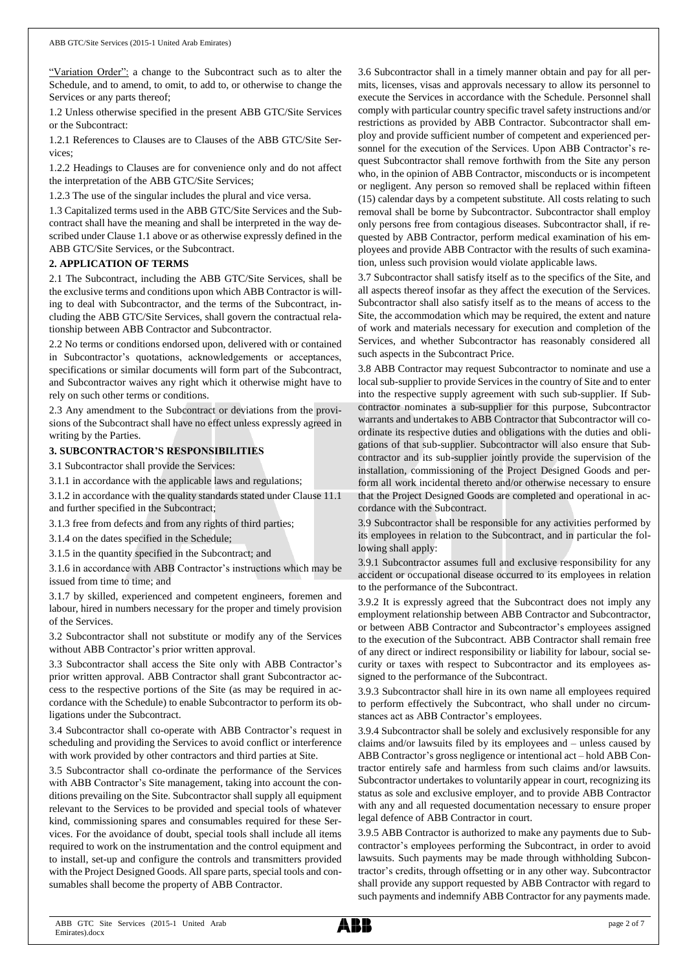"Variation Order": a change to the Subcontract such as to alter the Schedule, and to amend, to omit, to add to, or otherwise to change the Services or any parts thereof;

1.2 Unless otherwise specified in the present ABB GTC/Site Services or the Subcontract:

1.2.1 References to Clauses are to Clauses of the ABB GTC/Site Services;

1.2.2 Headings to Clauses are for convenience only and do not affect the interpretation of the ABB GTC/Site Services;

1.2.3 The use of the singular includes the plural and vice versa.

1.3 Capitalized terms used in the ABB GTC/Site Services and the Subcontract shall have the meaning and shall be interpreted in the way described under Clause 1.1 above or as otherwise expressly defined in the ABB GTC/Site Services, or the Subcontract.

#### **2. APPLICATION OF TERMS**

2.1 The Subcontract, including the ABB GTC/Site Services, shall be the exclusive terms and conditions upon which ABB Contractor is willing to deal with Subcontractor, and the terms of the Subcontract, including the ABB GTC/Site Services, shall govern the contractual relationship between ABB Contractor and Subcontractor.

2.2 No terms or conditions endorsed upon, delivered with or contained in Subcontractor's quotations, acknowledgements or acceptances, specifications or similar documents will form part of the Subcontract, and Subcontractor waives any right which it otherwise might have to rely on such other terms or conditions.

2.3 Any amendment to the Subcontract or deviations from the provisions of the Subcontract shall have no effect unless expressly agreed in writing by the Parties.

#### **3. SUBCONTRACTOR'S RESPONSIBILITIES**

3.1 Subcontractor shall provide the Services:

3.1.1 in accordance with the applicable laws and regulations;

3.1.2 in accordance with the quality standards stated under Clause 11.1 and further specified in the Subcontract;

3.1.3 free from defects and from any rights of third parties;

3.1.4 on the dates specified in the Schedule;

3.1.5 in the quantity specified in the Subcontract; and

3.1.6 in accordance with ABB Contractor's instructions which may be issued from time to time; and

3.1.7 by skilled, experienced and competent engineers, foremen and labour, hired in numbers necessary for the proper and timely provision of the Services.

3.2 Subcontractor shall not substitute or modify any of the Services without ABB Contractor's prior written approval.

3.3 Subcontractor shall access the Site only with ABB Contractor's prior written approval. ABB Contractor shall grant Subcontractor access to the respective portions of the Site (as may be required in accordance with the Schedule) to enable Subcontractor to perform its obligations under the Subcontract.

3.4 Subcontractor shall co-operate with ABB Contractor's request in scheduling and providing the Services to avoid conflict or interference with work provided by other contractors and third parties at Site.

3.5 Subcontractor shall co-ordinate the performance of the Services with ABB Contractor's Site management, taking into account the conditions prevailing on the Site. Subcontractor shall supply all equipment relevant to the Services to be provided and special tools of whatever kind, commissioning spares and consumables required for these Services. For the avoidance of doubt, special tools shall include all items required to work on the instrumentation and the control equipment and to install, set-up and configure the controls and transmitters provided with the Project Designed Goods. All spare parts, special tools and consumables shall become the property of ABB Contractor.

3.6 Subcontractor shall in a timely manner obtain and pay for all permits, licenses, visas and approvals necessary to allow its personnel to execute the Services in accordance with the Schedule. Personnel shall comply with particular country specific travel safety instructions and/or restrictions as provided by ABB Contractor. Subcontractor shall employ and provide sufficient number of competent and experienced personnel for the execution of the Services. Upon ABB Contractor's request Subcontractor shall remove forthwith from the Site any person who, in the opinion of ABB Contractor, misconducts or is incompetent or negligent. Any person so removed shall be replaced within fifteen (15) calendar days by a competent substitute. All costs relating to such removal shall be borne by Subcontractor. Subcontractor shall employ only persons free from contagious diseases. Subcontractor shall, if requested by ABB Contractor, perform medical examination of his employees and provide ABB Contractor with the results of such examination, unless such provision would violate applicable laws.

3.7 Subcontractor shall satisfy itself as to the specifics of the Site, and all aspects thereof insofar as they affect the execution of the Services. Subcontractor shall also satisfy itself as to the means of access to the Site, the accommodation which may be required, the extent and nature of work and materials necessary for execution and completion of the Services, and whether Subcontractor has reasonably considered all such aspects in the Subcontract Price.

3.8 ABB Contractor may request Subcontractor to nominate and use a local sub-supplier to provide Services in the country of Site and to enter into the respective supply agreement with such sub-supplier. If Subcontractor nominates a sub-supplier for this purpose, Subcontractor warrants and undertakes to ABB Contractor that Subcontractor will coordinate its respective duties and obligations with the duties and obligations of that sub-supplier. Subcontractor will also ensure that Subcontractor and its sub-supplier jointly provide the supervision of the installation, commissioning of the Project Designed Goods and perform all work incidental thereto and/or otherwise necessary to ensure that the Project Designed Goods are completed and operational in accordance with the Subcontract.

3.9 Subcontractor shall be responsible for any activities performed by its employees in relation to the Subcontract, and in particular the following shall apply:

3.9.1 Subcontractor assumes full and exclusive responsibility for any accident or occupational disease occurred to its employees in relation to the performance of the Subcontract.

3.9.2 It is expressly agreed that the Subcontract does not imply any employment relationship between ABB Contractor and Subcontractor, or between ABB Contractor and Subcontractor's employees assigned to the execution of the Subcontract. ABB Contractor shall remain free of any direct or indirect responsibility or liability for labour, social security or taxes with respect to Subcontractor and its employees assigned to the performance of the Subcontract.

3.9.3 Subcontractor shall hire in its own name all employees required to perform effectively the Subcontract, who shall under no circumstances act as ABB Contractor's employees.

3.9.4 Subcontractor shall be solely and exclusively responsible for any claims and/or lawsuits filed by its employees and – unless caused by ABB Contractor's gross negligence or intentional act – hold ABB Contractor entirely safe and harmless from such claims and/or lawsuits. Subcontractor undertakes to voluntarily appear in court, recognizing its status as sole and exclusive employer, and to provide ABB Contractor with any and all requested documentation necessary to ensure proper legal defence of ABB Contractor in court.

3.9.5 ABB Contractor is authorized to make any payments due to Subcontractor's employees performing the Subcontract, in order to avoid lawsuits. Such payments may be made through withholding Subcontractor's credits, through offsetting or in any other way. Subcontractor shall provide any support requested by ABB Contractor with regard to such payments and indemnify ABB Contractor for any payments made.

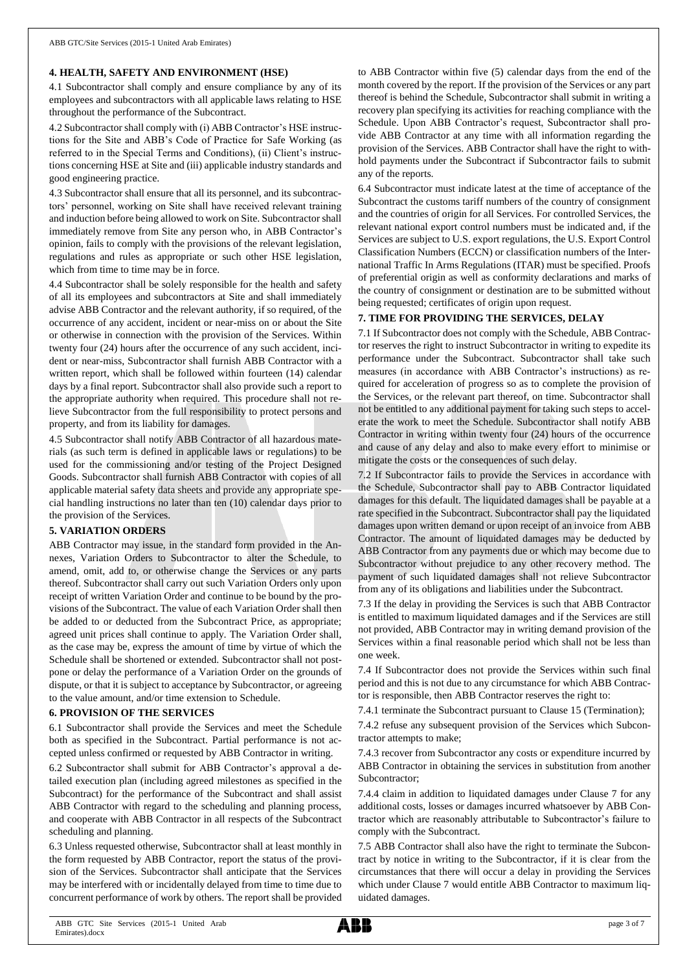#### **4. HEALTH, SAFETY AND ENVIRONMENT (HSE)**

4.1 Subcontractor shall comply and ensure compliance by any of its employees and subcontractors with all applicable laws relating to HSE throughout the performance of the Subcontract.

4.2 Subcontractor shall comply with (i) ABB Contractor's HSE instructions for the Site and ABB's Code of Practice for Safe Working (as referred to in the Special Terms and Conditions), (ii) Client's instructions concerning HSE at Site and (iii) applicable industry standards and good engineering practice.

4.3 Subcontractor shall ensure that all its personnel, and its subcontractors' personnel, working on Site shall have received relevant training and induction before being allowed to work on Site. Subcontractor shall immediately remove from Site any person who, in ABB Contractor's opinion, fails to comply with the provisions of the relevant legislation, regulations and rules as appropriate or such other HSE legislation, which from time to time may be in force.

4.4 Subcontractor shall be solely responsible for the health and safety of all its employees and subcontractors at Site and shall immediately advise ABB Contractor and the relevant authority, if so required, of the occurrence of any accident, incident or near-miss on or about the Site or otherwise in connection with the provision of the Services. Within twenty four (24) hours after the occurrence of any such accident, incident or near-miss, Subcontractor shall furnish ABB Contractor with a written report, which shall be followed within fourteen (14) calendar days by a final report. Subcontractor shall also provide such a report to the appropriate authority when required. This procedure shall not relieve Subcontractor from the full responsibility to protect persons and property, and from its liability for damages.

4.5 Subcontractor shall notify ABB Contractor of all hazardous materials (as such term is defined in applicable laws or regulations) to be used for the commissioning and/or testing of the Project Designed Goods. Subcontractor shall furnish ABB Contractor with copies of all applicable material safety data sheets and provide any appropriate special handling instructions no later than ten (10) calendar days prior to the provision of the Services.

## **5. VARIATION ORDERS**

ABB Contractor may issue, in the standard form provided in the Annexes, Variation Orders to Subcontractor to alter the Schedule, to amend, omit, add to, or otherwise change the Services or any parts thereof. Subcontractor shall carry out such Variation Orders only upon receipt of written Variation Order and continue to be bound by the provisions of the Subcontract. The value of each Variation Order shall then be added to or deducted from the Subcontract Price, as appropriate; agreed unit prices shall continue to apply. The Variation Order shall, as the case may be, express the amount of time by virtue of which the Schedule shall be shortened or extended. Subcontractor shall not postpone or delay the performance of a Variation Order on the grounds of dispute, or that it is subject to acceptance by Subcontractor, or agreeing to the value amount, and/or time extension to Schedule.

#### **6. PROVISION OF THE SERVICES**

6.1 Subcontractor shall provide the Services and meet the Schedule both as specified in the Subcontract. Partial performance is not accepted unless confirmed or requested by ABB Contractor in writing.

6.2 Subcontractor shall submit for ABB Contractor's approval a detailed execution plan (including agreed milestones as specified in the Subcontract) for the performance of the Subcontract and shall assist ABB Contractor with regard to the scheduling and planning process, and cooperate with ABB Contractor in all respects of the Subcontract scheduling and planning.

6.3 Unless requested otherwise, Subcontractor shall at least monthly in the form requested by ABB Contractor, report the status of the provision of the Services. Subcontractor shall anticipate that the Services may be interfered with or incidentally delayed from time to time due to concurrent performance of work by others. The report shall be provided to ABB Contractor within five (5) calendar days from the end of the month covered by the report. If the provision of the Services or any part thereof is behind the Schedule, Subcontractor shall submit in writing a recovery plan specifying its activities for reaching compliance with the Schedule. Upon ABB Contractor's request, Subcontractor shall provide ABB Contractor at any time with all information regarding the provision of the Services. ABB Contractor shall have the right to withhold payments under the Subcontract if Subcontractor fails to submit any of the reports.

6.4 Subcontractor must indicate latest at the time of acceptance of the Subcontract the customs tariff numbers of the country of consignment and the countries of origin for all Services. For controlled Services, the relevant national export control numbers must be indicated and, if the Services are subject to U.S. export regulations, the U.S. Export Control Classification Numbers (ECCN) or classification numbers of the International Traffic In Arms Regulations (ITAR) must be specified. Proofs of preferential origin as well as conformity declarations and marks of the country of consignment or destination are to be submitted without being requested; certificates of origin upon request.

#### **7. TIME FOR PROVIDING THE SERVICES, DELAY**

7.1 If Subcontractor does not comply with the Schedule, ABB Contractor reserves the right to instruct Subcontractor in writing to expedite its performance under the Subcontract. Subcontractor shall take such measures (in accordance with ABB Contractor's instructions) as required for acceleration of progress so as to complete the provision of the Services, or the relevant part thereof, on time. Subcontractor shall not be entitled to any additional payment for taking such steps to accelerate the work to meet the Schedule. Subcontractor shall notify ABB Contractor in writing within twenty four (24) hours of the occurrence and cause of any delay and also to make every effort to minimise or mitigate the costs or the consequences of such delay.

7.2 If Subcontractor fails to provide the Services in accordance with the Schedule, Subcontractor shall pay to ABB Contractor liquidated damages for this default. The liquidated damages shall be payable at a rate specified in the Subcontract. Subcontractor shall pay the liquidated damages upon written demand or upon receipt of an invoice from ABB Contractor. The amount of liquidated damages may be deducted by ABB Contractor from any payments due or which may become due to Subcontractor without prejudice to any other recovery method. The payment of such liquidated damages shall not relieve Subcontractor from any of its obligations and liabilities under the Subcontract.

7.3 If the delay in providing the Services is such that ABB Contractor is entitled to maximum liquidated damages and if the Services are still not provided, ABB Contractor may in writing demand provision of the Services within a final reasonable period which shall not be less than one week.

7.4 If Subcontractor does not provide the Services within such final period and this is not due to any circumstance for which ABB Contractor is responsible, then ABB Contractor reserves the right to:

7.4.1 terminate the Subcontract pursuant to Clause 15 (Termination);

7.4.2 refuse any subsequent provision of the Services which Subcontractor attempts to make;

7.4.3 recover from Subcontractor any costs or expenditure incurred by ABB Contractor in obtaining the services in substitution from another Subcontractor;

7.4.4 claim in addition to liquidated damages under Clause 7 for any additional costs, losses or damages incurred whatsoever by ABB Contractor which are reasonably attributable to Subcontractor's failure to comply with the Subcontract.

7.5 ABB Contractor shall also have the right to terminate the Subcontract by notice in writing to the Subcontractor, if it is clear from the circumstances that there will occur a delay in providing the Services which under Clause 7 would entitle ABB Contractor to maximum liquidated damages.

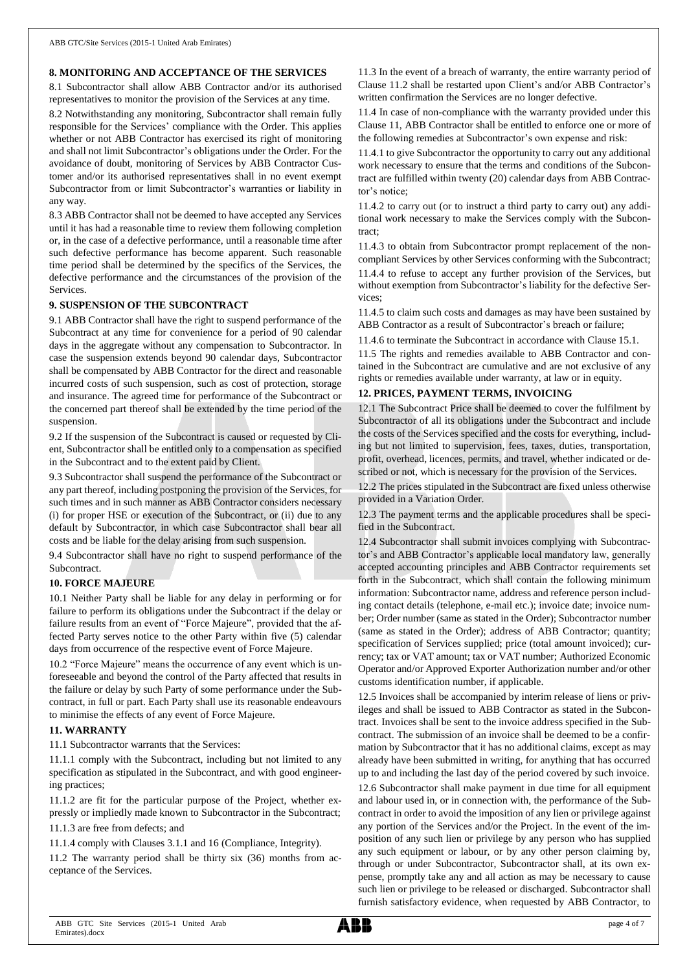#### **8. MONITORING AND ACCEPTANCE OF THE SERVICES**

8.1 Subcontractor shall allow ABB Contractor and/or its authorised representatives to monitor the provision of the Services at any time.

8.2 Notwithstanding any monitoring, Subcontractor shall remain fully responsible for the Services' compliance with the Order. This applies whether or not ABB Contractor has exercised its right of monitoring and shall not limit Subcontractor's obligations under the Order. For the avoidance of doubt, monitoring of Services by ABB Contractor Customer and/or its authorised representatives shall in no event exempt Subcontractor from or limit Subcontractor's warranties or liability in any way.

8.3 ABB Contractor shall not be deemed to have accepted any Services until it has had a reasonable time to review them following completion or, in the case of a defective performance, until a reasonable time after such defective performance has become apparent. Such reasonable time period shall be determined by the specifics of the Services, the defective performance and the circumstances of the provision of the Services.

#### **9. SUSPENSION OF THE SUBCONTRACT**

9.1 ABB Contractor shall have the right to suspend performance of the Subcontract at any time for convenience for a period of 90 calendar days in the aggregate without any compensation to Subcontractor. In case the suspension extends beyond 90 calendar days, Subcontractor shall be compensated by ABB Contractor for the direct and reasonable incurred costs of such suspension, such as cost of protection, storage and insurance. The agreed time for performance of the Subcontract or the concerned part thereof shall be extended by the time period of the suspension.

9.2 If the suspension of the Subcontract is caused or requested by Client, Subcontractor shall be entitled only to a compensation as specified in the Subcontract and to the extent paid by Client.

9.3 Subcontractor shall suspend the performance of the Subcontract or any part thereof, including postponing the provision of the Services, for such times and in such manner as ABB Contractor considers necessary (i) for proper HSE or execution of the Subcontract, or (ii) due to any default by Subcontractor, in which case Subcontractor shall bear all costs and be liable for the delay arising from such suspension.

9.4 Subcontractor shall have no right to suspend performance of the **Subcontract.** 

#### **10. FORCE MAJEURE**

10.1 Neither Party shall be liable for any delay in performing or for failure to perform its obligations under the Subcontract if the delay or failure results from an event of "Force Majeure", provided that the affected Party serves notice to the other Party within five (5) calendar days from occurrence of the respective event of Force Majeure.

10.2 "Force Majeure" means the occurrence of any event which is unforeseeable and beyond the control of the Party affected that results in the failure or delay by such Party of some performance under the Subcontract, in full or part. Each Party shall use its reasonable endeavours to minimise the effects of any event of Force Majeure.

#### **11. WARRANTY**

11.1 Subcontractor warrants that the Services:

11.1.1 comply with the Subcontract, including but not limited to any specification as stipulated in the Subcontract, and with good engineering practices;

11.1.2 are fit for the particular purpose of the Project, whether expressly or impliedly made known to Subcontractor in the Subcontract;

11.1.3 are free from defects; and

11.1.4 comply with Clauses 3.1.1 and 16 (Compliance, Integrity).

11.2 The warranty period shall be thirty six (36) months from acceptance of the Services.

11.3 In the event of a breach of warranty, the entire warranty period of Clause 11.2 shall be restarted upon Client's and/or ABB Contractor's written confirmation the Services are no longer defective.

11.4 In case of non-compliance with the warranty provided under this Clause 11, ABB Contractor shall be entitled to enforce one or more of the following remedies at Subcontractor's own expense and risk:

11.4.1 to give Subcontractor the opportunity to carry out any additional work necessary to ensure that the terms and conditions of the Subcontract are fulfilled within twenty (20) calendar days from ABB Contractor's notice;

11.4.2 to carry out (or to instruct a third party to carry out) any additional work necessary to make the Services comply with the Subcontract;

11.4.3 to obtain from Subcontractor prompt replacement of the noncompliant Services by other Services conforming with the Subcontract;

11.4.4 to refuse to accept any further provision of the Services, but without exemption from Subcontractor's liability for the defective Services;

11.4.5 to claim such costs and damages as may have been sustained by ABB Contractor as a result of Subcontractor's breach or failure;

11.4.6 to terminate the Subcontract in accordance with Clause 15.1.

11.5 The rights and remedies available to ABB Contractor and contained in the Subcontract are cumulative and are not exclusive of any rights or remedies available under warranty, at law or in equity.

#### **12. PRICES, PAYMENT TERMS, INVOICING**

12.1 The Subcontract Price shall be deemed to cover the fulfilment by Subcontractor of all its obligations under the Subcontract and include the costs of the Services specified and the costs for everything, including but not limited to supervision, fees, taxes, duties, transportation, profit, overhead, licences, permits, and travel, whether indicated or described or not, which is necessary for the provision of the Services.

12.2 The prices stipulated in the Subcontract are fixed unless otherwise provided in a Variation Order.

12.3 The payment terms and the applicable procedures shall be specified in the Subcontract.

12.4 Subcontractor shall submit invoices complying with Subcontractor's and ABB Contractor's applicable local mandatory law, generally accepted accounting principles and ABB Contractor requirements set forth in the Subcontract, which shall contain the following minimum information: Subcontractor name, address and reference person including contact details (telephone, e-mail etc.); invoice date; invoice number; Order number (same as stated in the Order); Subcontractor number (same as stated in the Order); address of ABB Contractor; quantity; specification of Services supplied; price (total amount invoiced); currency; tax or VAT amount; tax or VAT number; Authorized Economic Operator and/or Approved Exporter Authorization number and/or other customs identification number, if applicable.

12.5 Invoices shall be accompanied by interim release of liens or privileges and shall be issued to ABB Contractor as stated in the Subcontract. Invoices shall be sent to the invoice address specified in the Subcontract. The submission of an invoice shall be deemed to be a confirmation by Subcontractor that it has no additional claims, except as may already have been submitted in writing, for anything that has occurred up to and including the last day of the period covered by such invoice. 12.6 Subcontractor shall make payment in due time for all equipment and labour used in, or in connection with, the performance of the Subcontract in order to avoid the imposition of any lien or privilege against any portion of the Services and/or the Project. In the event of the imposition of any such lien or privilege by any person who has supplied any such equipment or labour, or by any other person claiming by, through or under Subcontractor, Subcontractor shall, at its own expense, promptly take any and all action as may be necessary to cause such lien or privilege to be released or discharged. Subcontractor shall furnish satisfactory evidence, when requested by ABB Contractor, to

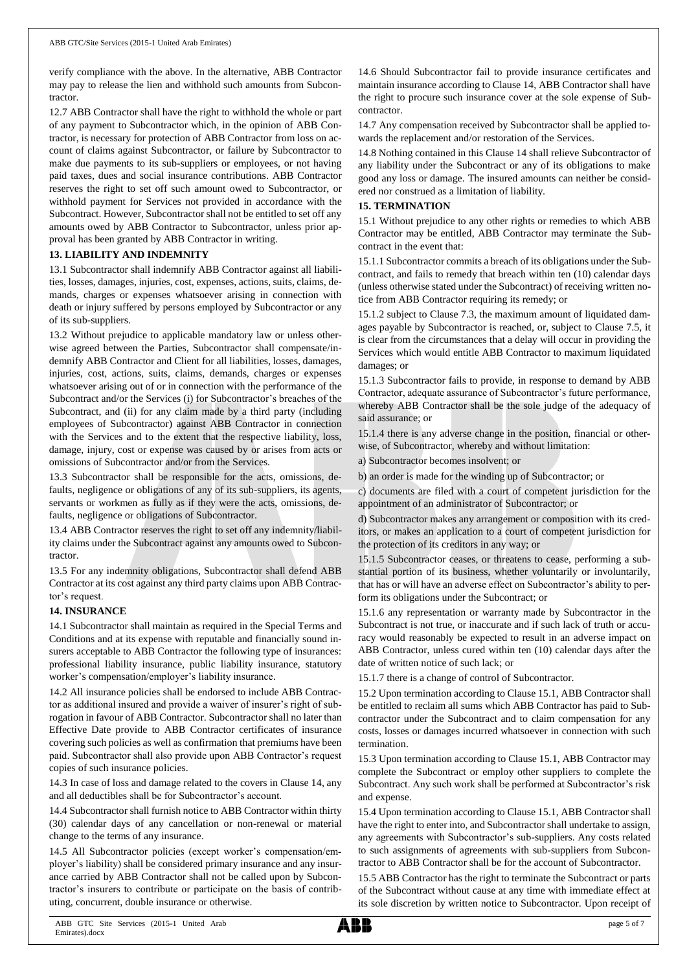verify compliance with the above. In the alternative, ABB Contractor may pay to release the lien and withhold such amounts from Subcontractor.

12.7 ABB Contractor shall have the right to withhold the whole or part of any payment to Subcontractor which, in the opinion of ABB Contractor, is necessary for protection of ABB Contractor from loss on account of claims against Subcontractor, or failure by Subcontractor to make due payments to its sub-suppliers or employees, or not having paid taxes, dues and social insurance contributions. ABB Contractor reserves the right to set off such amount owed to Subcontractor, or withhold payment for Services not provided in accordance with the Subcontract. However, Subcontractor shall not be entitled to set off any amounts owed by ABB Contractor to Subcontractor, unless prior approval has been granted by ABB Contractor in writing.

#### **13. LIABILITY AND INDEMNITY**

13.1 Subcontractor shall indemnify ABB Contractor against all liabilities, losses, damages, injuries, cost, expenses, actions, suits, claims, demands, charges or expenses whatsoever arising in connection with death or injury suffered by persons employed by Subcontractor or any of its sub-suppliers.

13.2 Without prejudice to applicable mandatory law or unless otherwise agreed between the Parties, Subcontractor shall compensate/indemnify ABB Contractor and Client for all liabilities, losses, damages, injuries, cost, actions, suits, claims, demands, charges or expenses whatsoever arising out of or in connection with the performance of the Subcontract and/or the Services (i) for Subcontractor's breaches of the Subcontract, and (ii) for any claim made by a third party (including employees of Subcontractor) against ABB Contractor in connection with the Services and to the extent that the respective liability, loss, damage, injury, cost or expense was caused by or arises from acts or omissions of Subcontractor and/or from the Services.

13.3 Subcontractor shall be responsible for the acts, omissions, defaults, negligence or obligations of any of its sub-suppliers, its agents, servants or workmen as fully as if they were the acts, omissions, defaults, negligence or obligations of Subcontractor.

13.4 ABB Contractor reserves the right to set off any indemnity/liability claims under the Subcontract against any amounts owed to Subcontractor.

13.5 For any indemnity obligations, Subcontractor shall defend ABB Contractor at its cost against any third party claims upon ABB Contractor's request.

#### **14. INSURANCE**

14.1 Subcontractor shall maintain as required in the Special Terms and Conditions and at its expense with reputable and financially sound insurers acceptable to ABB Contractor the following type of insurances: professional liability insurance, public liability insurance, statutory worker's compensation/employer's liability insurance.

14.2 All insurance policies shall be endorsed to include ABB Contractor as additional insured and provide a waiver of insurer's right of subrogation in favour of ABB Contractor. Subcontractor shall no later than Effective Date provide to ABB Contractor certificates of insurance covering such policies as well as confirmation that premiums have been paid. Subcontractor shall also provide upon ABB Contractor's request copies of such insurance policies.

14.3 In case of loss and damage related to the covers in Clause 14, any and all deductibles shall be for Subcontractor's account.

14.4 Subcontractor shall furnish notice to ABB Contractor within thirty (30) calendar days of any cancellation or non-renewal or material change to the terms of any insurance.

14.5 All Subcontractor policies (except worker's compensation/employer's liability) shall be considered primary insurance and any insurance carried by ABB Contractor shall not be called upon by Subcontractor's insurers to contribute or participate on the basis of contributing, concurrent, double insurance or otherwise.

14.6 Should Subcontractor fail to provide insurance certificates and maintain insurance according to Clause 14, ABB Contractor shall have the right to procure such insurance cover at the sole expense of Subcontractor.

14.7 Any compensation received by Subcontractor shall be applied towards the replacement and/or restoration of the Services.

14.8 Nothing contained in this Clause 14 shall relieve Subcontractor of any liability under the Subcontract or any of its obligations to make good any loss or damage. The insured amounts can neither be considered nor construed as a limitation of liability.

#### **15. TERMINATION**

15.1 Without prejudice to any other rights or remedies to which ABB Contractor may be entitled, ABB Contractor may terminate the Subcontract in the event that:

15.1.1 Subcontractor commits a breach of its obligations under the Subcontract, and fails to remedy that breach within ten (10) calendar days (unless otherwise stated under the Subcontract) of receiving written notice from ABB Contractor requiring its remedy; or

15.1.2 subject to Clause 7.3, the maximum amount of liquidated damages payable by Subcontractor is reached, or, subject to Clause 7.5, it is clear from the circumstances that a delay will occur in providing the Services which would entitle ABB Contractor to maximum liquidated damages; or

15.1.3 Subcontractor fails to provide, in response to demand by ABB Contractor, adequate assurance of Subcontractor's future performance, whereby ABB Contractor shall be the sole judge of the adequacy of said assurance; or

15.1.4 there is any adverse change in the position, financial or otherwise, of Subcontractor, whereby and without limitation:

a) Subcontractor becomes insolvent; or

b) an order is made for the winding up of Subcontractor; or

c) documents are filed with a court of competent jurisdiction for the appointment of an administrator of Subcontractor; or

d) Subcontractor makes any arrangement or composition with its creditors, or makes an application to a court of competent jurisdiction for the protection of its creditors in any way; or

15.1.5 Subcontractor ceases, or threatens to cease, performing a substantial portion of its business, whether voluntarily or involuntarily, that has or will have an adverse effect on Subcontractor's ability to perform its obligations under the Subcontract; or

15.1.6 any representation or warranty made by Subcontractor in the Subcontract is not true, or inaccurate and if such lack of truth or accuracy would reasonably be expected to result in an adverse impact on ABB Contractor, unless cured within ten (10) calendar days after the date of written notice of such lack; or

15.1.7 there is a change of control of Subcontractor.

15.2 Upon termination according to Clause 15.1, ABB Contractor shall be entitled to reclaim all sums which ABB Contractor has paid to Subcontractor under the Subcontract and to claim compensation for any costs, losses or damages incurred whatsoever in connection with such termination.

15.3 Upon termination according to Clause 15.1, ABB Contractor may complete the Subcontract or employ other suppliers to complete the Subcontract. Any such work shall be performed at Subcontractor's risk and expense.

15.4 Upon termination according to Clause 15.1, ABB Contractor shall have the right to enter into, and Subcontractor shall undertake to assign, any agreements with Subcontractor's sub-suppliers. Any costs related to such assignments of agreements with sub-suppliers from Subcontractor to ABB Contractor shall be for the account of Subcontractor.

15.5 ABB Contractor has the right to terminate the Subcontract or parts of the Subcontract without cause at any time with immediate effect at its sole discretion by written notice to Subcontractor. Upon receipt of

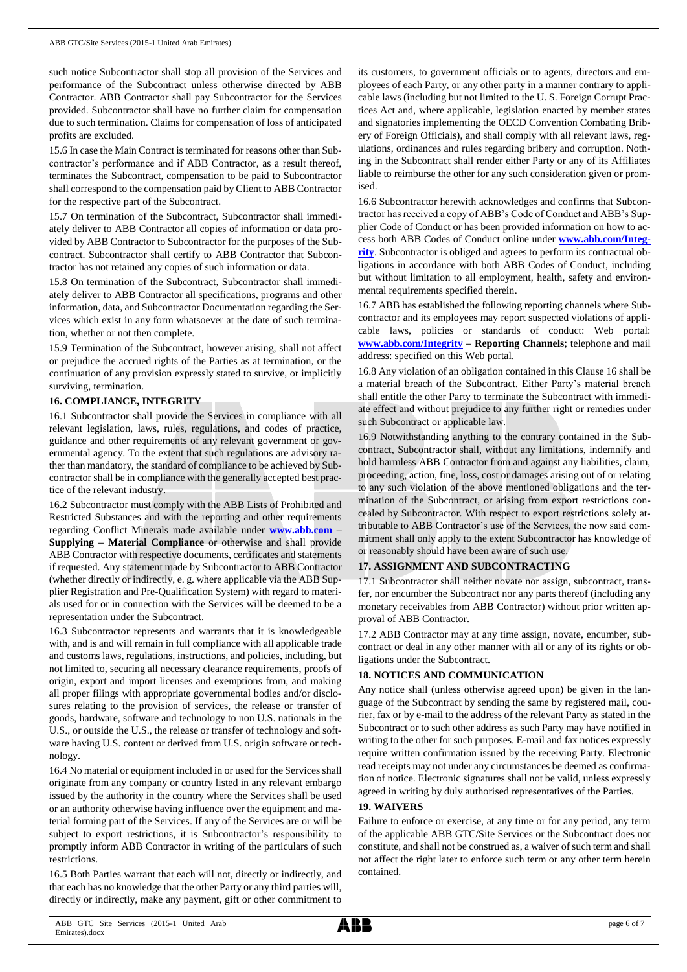such notice Subcontractor shall stop all provision of the Services and performance of the Subcontract unless otherwise directed by ABB Contractor. ABB Contractor shall pay Subcontractor for the Services provided. Subcontractor shall have no further claim for compensation due to such termination. Claims for compensation of loss of anticipated profits are excluded.

15.6 In case the Main Contract is terminated for reasons other than Subcontractor's performance and if ABB Contractor, as a result thereof, terminates the Subcontract, compensation to be paid to Subcontractor shall correspond to the compensation paid by Client to ABB Contractor for the respective part of the Subcontract.

15.7 On termination of the Subcontract, Subcontractor shall immediately deliver to ABB Contractor all copies of information or data provided by ABB Contractor to Subcontractor for the purposes of the Subcontract. Subcontractor shall certify to ABB Contractor that Subcontractor has not retained any copies of such information or data.

15.8 On termination of the Subcontract, Subcontractor shall immediately deliver to ABB Contractor all specifications, programs and other information, data, and Subcontractor Documentation regarding the Services which exist in any form whatsoever at the date of such termination, whether or not then complete.

15.9 Termination of the Subcontract, however arising, shall not affect or prejudice the accrued rights of the Parties as at termination, or the continuation of any provision expressly stated to survive, or implicitly surviving, termination.

#### **16. COMPLIANCE, INTEGRITY**

16.1 Subcontractor shall provide the Services in compliance with all relevant legislation, laws, rules, regulations, and codes of practice, guidance and other requirements of any relevant government or governmental agency. To the extent that such regulations are advisory rather than mandatory, the standard of compliance to be achieved by Subcontractor shall be in compliance with the generally accepted best practice of the relevant industry.

16.2 Subcontractor must comply with the ABB Lists of Prohibited and Restricted Substances and with the reporting and other requirements regarding Conflict Minerals made available under **[www.abb.com](http://www.abb.com/) – Supplying – Material Compliance** or otherwise and shall provide ABB Contractor with respective documents, certificates and statements if requested. Any statement made by Subcontractor to ABB Contractor (whether directly or indirectly, e. g. where applicable via the ABB Supplier Registration and Pre-Qualification System) with regard to materials used for or in connection with the Services will be deemed to be a representation under the Subcontract.

16.3 Subcontractor represents and warrants that it is knowledgeable with, and is and will remain in full compliance with all applicable trade and customs laws, regulations, instructions, and policies, including, but not limited to, securing all necessary clearance requirements, proofs of origin, export and import licenses and exemptions from, and making all proper filings with appropriate governmental bodies and/or disclosures relating to the provision of services, the release or transfer of goods, hardware, software and technology to non U.S. nationals in the U.S., or outside the U.S., the release or transfer of technology and software having U.S. content or derived from U.S. origin software or technology.

16.4 No material or equipment included in or used for the Services shall originate from any company or country listed in any relevant embargo issued by the authority in the country where the Services shall be used or an authority otherwise having influence over the equipment and material forming part of the Services. If any of the Services are or will be subject to export restrictions, it is Subcontractor's responsibility to promptly inform ABB Contractor in writing of the particulars of such restrictions.

16.5 Both Parties warrant that each will not, directly or indirectly, and that each has no knowledge that the other Party or any third parties will, directly or indirectly, make any payment, gift or other commitment to

its customers, to government officials or to agents, directors and employees of each Party, or any other party in a manner contrary to applicable laws (including but not limited to the U. S. Foreign Corrupt Practices Act and, where applicable, legislation enacted by member states and signatories implementing the OECD Convention Combating Bribery of Foreign Officials), and shall comply with all relevant laws, regulations, ordinances and rules regarding bribery and corruption. Nothing in the Subcontract shall render either Party or any of its Affiliates liable to reimburse the other for any such consideration given or promised.

16.6 Subcontractor herewith acknowledges and confirms that Subcontractor has received a copy of ABB's Code of Conduct and ABB's Supplier Code of Conduct or has been provided information on how to access both ABB Codes of Conduct online under **[www.abb.com/Integ](http://www.abb.com/Integrity)[rity](http://www.abb.com/Integrity)**. Subcontractor is obliged and agrees to perform its contractual obligations in accordance with both ABB Codes of Conduct, including but without limitation to all employment, health, safety and environmental requirements specified therein.

16.7 ABB has established the following reporting channels where Subcontractor and its employees may report suspected violations of applicable laws, policies or standards of conduct: Web portal: **[www.abb.com/Integrity](http://www.abb.com/Integrity) – Reporting Channels**; telephone and mail address: specified on this Web portal.

16.8 Any violation of an obligation contained in this Clause 16 shall be a material breach of the Subcontract. Either Party's material breach shall entitle the other Party to terminate the Subcontract with immediate effect and without prejudice to any further right or remedies under such Subcontract or applicable law.

16.9 Notwithstanding anything to the contrary contained in the Subcontract, Subcontractor shall, without any limitations, indemnify and hold harmless ABB Contractor from and against any liabilities, claim, proceeding, action, fine, loss, cost or damages arising out of or relating to any such violation of the above mentioned obligations and the termination of the Subcontract, or arising from export restrictions concealed by Subcontractor. With respect to export restrictions solely attributable to ABB Contractor's use of the Services, the now said commitment shall only apply to the extent Subcontractor has knowledge of or reasonably should have been aware of such use.

## **17. ASSIGNMENT AND SUBCONTRACTING**

17.1 Subcontractor shall neither novate nor assign, subcontract, transfer, nor encumber the Subcontract nor any parts thereof (including any monetary receivables from ABB Contractor) without prior written approval of ABB Contractor.

17.2 ABB Contractor may at any time assign, novate, encumber, subcontract or deal in any other manner with all or any of its rights or obligations under the Subcontract.

## **18. NOTICES AND COMMUNICATION**

Any notice shall (unless otherwise agreed upon) be given in the language of the Subcontract by sending the same by registered mail, courier, fax or by e-mail to the address of the relevant Party as stated in the Subcontract or to such other address as such Party may have notified in writing to the other for such purposes. E-mail and fax notices expressly require written confirmation issued by the receiving Party. Electronic read receipts may not under any circumstances be deemed as confirmation of notice. Electronic signatures shall not be valid, unless expressly agreed in writing by duly authorised representatives of the Parties.

## **19. WAIVERS**

Failure to enforce or exercise, at any time or for any period, any term of the applicable ABB GTC/Site Services or the Subcontract does not constitute, and shall not be construed as, a waiver of such term and shall not affect the right later to enforce such term or any other term herein contained.